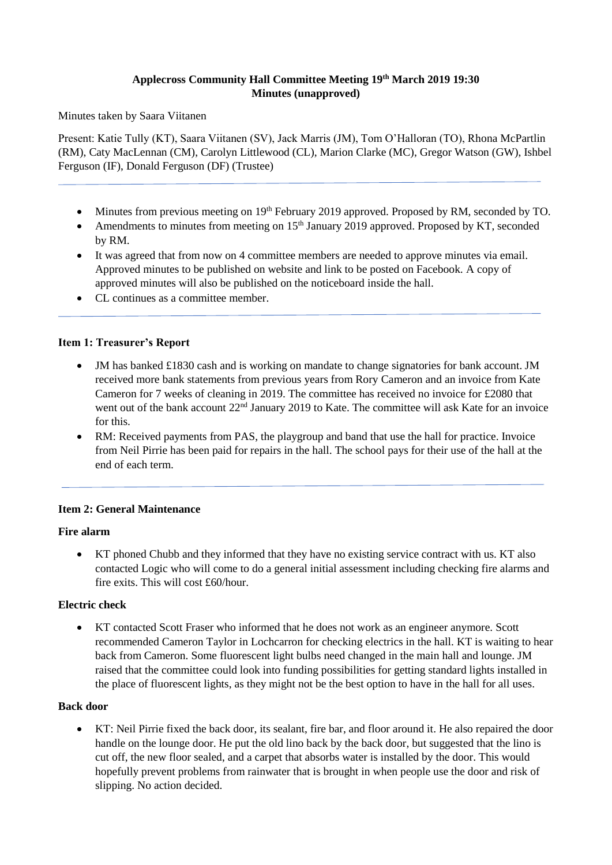## **Applecross Community Hall Committee Meeting 19th March 2019 19:30 Minutes (unapproved)**

Minutes taken by Saara Viitanen

Present: Katie Tully (KT), Saara Viitanen (SV), Jack Marris (JM), Tom O'Halloran (TO), Rhona McPartlin (RM), Caty MacLennan (CM), Carolyn Littlewood (CL), Marion Clarke (MC), Gregor Watson (GW), Ishbel Ferguson (IF), Donald Ferguson (DF) (Trustee)

- Minutes from previous meeting on 19<sup>th</sup> February 2019 approved. Proposed by RM, seconded by TO.
- Amendments to minutes from meeting on 15<sup>th</sup> January 2019 approved. Proposed by KT, seconded by RM.
- It was agreed that from now on 4 committee members are needed to approve minutes via email. Approved minutes to be published on website and link to be posted on Facebook. A copy of approved minutes will also be published on the noticeboard inside the hall.
- CL continues as a committee member.

### **Item 1: Treasurer's Report**

- JM has banked £1830 cash and is working on mandate to change signatories for bank account. JM received more bank statements from previous years from Rory Cameron and an invoice from Kate Cameron for 7 weeks of cleaning in 2019. The committee has received no invoice for £2080 that went out of the bank account 22<sup>nd</sup> January 2019 to Kate. The committee will ask Kate for an invoice for this.
- RM: Received payments from PAS, the playgroup and band that use the hall for practice. Invoice from Neil Pirrie has been paid for repairs in the hall. The school pays for their use of the hall at the end of each term.

### **Item 2: General Maintenance**

#### **Fire alarm**

• KT phoned Chubb and they informed that they have no existing service contract with us. KT also contacted Logic who will come to do a general initial assessment including checking fire alarms and fire exits. This will cost £60/hour.

### **Electric check**

• KT contacted Scott Fraser who informed that he does not work as an engineer anymore. Scott recommended Cameron Taylor in Lochcarron for checking electrics in the hall. KT is waiting to hear back from Cameron. Some fluorescent light bulbs need changed in the main hall and lounge. JM raised that the committee could look into funding possibilities for getting standard lights installed in the place of fluorescent lights, as they might not be the best option to have in the hall for all uses.

#### **Back door**

• KT: Neil Pirrie fixed the back door, its sealant, fire bar, and floor around it. He also repaired the door handle on the lounge door. He put the old lino back by the back door, but suggested that the lino is cut off, the new floor sealed, and a carpet that absorbs water is installed by the door. This would hopefully prevent problems from rainwater that is brought in when people use the door and risk of slipping. No action decided.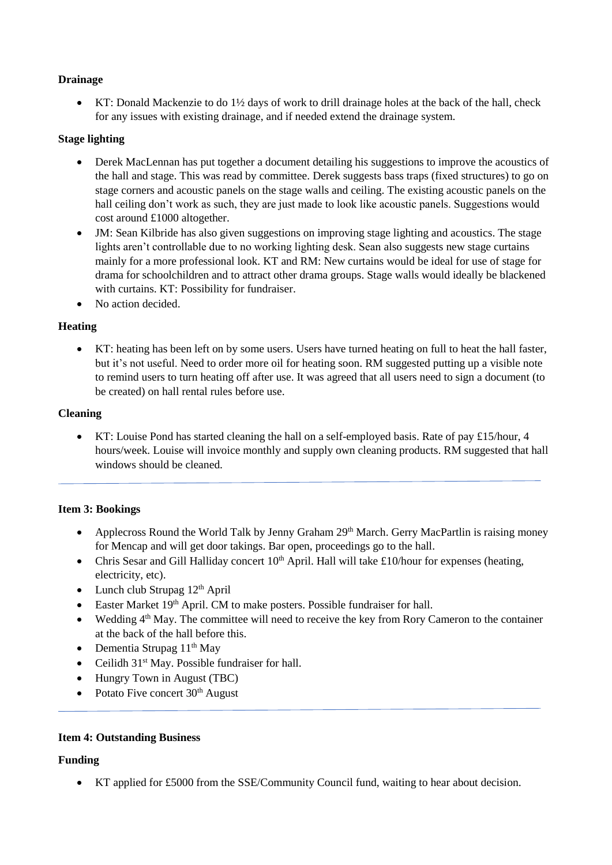# **Drainage**

• KT: Donald Mackenzie to do 1½ days of work to drill drainage holes at the back of the hall, check for any issues with existing drainage, and if needed extend the drainage system.

## **Stage lighting**

- Derek MacLennan has put together a document detailing his suggestions to improve the acoustics of the hall and stage. This was read by committee. Derek suggests bass traps (fixed structures) to go on stage corners and acoustic panels on the stage walls and ceiling. The existing acoustic panels on the hall ceiling don't work as such, they are just made to look like acoustic panels. Suggestions would cost around £1000 altogether.
- JM: Sean Kilbride has also given suggestions on improving stage lighting and acoustics. The stage lights aren't controllable due to no working lighting desk. Sean also suggests new stage curtains mainly for a more professional look. KT and RM: New curtains would be ideal for use of stage for drama for schoolchildren and to attract other drama groups. Stage walls would ideally be blackened with curtains. KT: Possibility for fundraiser.
- No action decided

# **Heating**

• KT: heating has been left on by some users. Users have turned heating on full to heat the hall faster, but it's not useful. Need to order more oil for heating soon. RM suggested putting up a visible note to remind users to turn heating off after use. It was agreed that all users need to sign a document (to be created) on hall rental rules before use.

### **Cleaning**

• KT: Louise Pond has started cleaning the hall on a self-employed basis. Rate of pay £15/hour, 4 hours/week. Louise will invoice monthly and supply own cleaning products. RM suggested that hall windows should be cleaned.

### **Item 3: Bookings**

- Applecross Round the World Talk by Jenny Graham 29<sup>th</sup> March. Gerry MacPartlin is raising money for Mencap and will get door takings. Bar open, proceedings go to the hall.
- Chris Sesar and Gill Halliday concert  $10<sup>th</sup>$  April. Hall will take £10/hour for expenses (heating, electricity, etc).
- Lunch club Strupag  $12<sup>th</sup>$  April
- Easter Market  $19<sup>th</sup>$  April. CM to make posters. Possible fundraiser for hall.
- Wedding  $4<sup>th</sup>$  May. The committee will need to receive the key from Rory Cameron to the container at the back of the hall before this.
- Dementia Strupag  $11<sup>th</sup>$  May
- Ceilidh  $31<sup>st</sup>$  May. Possible fundraiser for hall.
- Hungry Town in August (TBC)
- Potato Five concert  $30<sup>th</sup>$  August

### **Item 4: Outstanding Business**

### **Funding**

• KT applied for £5000 from the SSE/Community Council fund, waiting to hear about decision.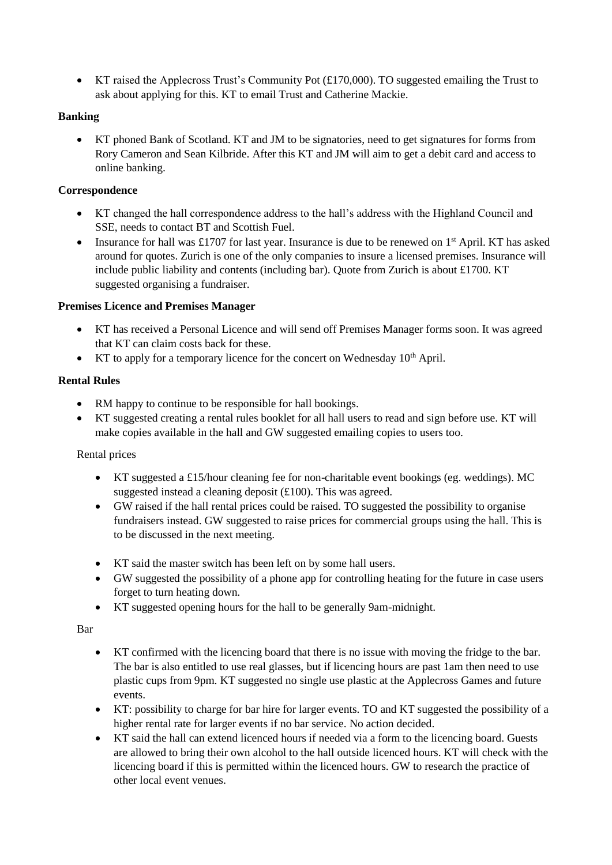• KT raised the Applecross Trust's Community Pot (£170,000). TO suggested emailing the Trust to ask about applying for this. KT to email Trust and Catherine Mackie.

# **Banking**

• KT phoned Bank of Scotland. KT and JM to be signatories, need to get signatures for forms from Rory Cameron and Sean Kilbride. After this KT and JM will aim to get a debit card and access to online banking.

## **Correspondence**

- KT changed the hall correspondence address to the hall's address with the Highland Council and SSE, needs to contact BT and Scottish Fuel.
- Insurance for hall was £1707 for last year. Insurance is due to be renewed on  $1<sup>st</sup>$  April. KT has asked around for quotes. Zurich is one of the only companies to insure a licensed premises. Insurance will include public liability and contents (including bar). Quote from Zurich is about £1700. KT suggested organising a fundraiser.

### **Premises Licence and Premises Manager**

- KT has received a Personal Licence and will send off Premises Manager forms soon. It was agreed that KT can claim costs back for these.
- KT to apply for a temporary licence for the concert on Wednesday  $10<sup>th</sup>$  April.

### **Rental Rules**

- RM happy to continue to be responsible for hall bookings.
- KT suggested creating a rental rules booklet for all hall users to read and sign before use. KT will make copies available in the hall and GW suggested emailing copies to users too.

### Rental prices

- KT suggested a £15/hour cleaning fee for non-charitable event bookings (eg. weddings). MC suggested instead a cleaning deposit (£100). This was agreed.
- GW raised if the hall rental prices could be raised. TO suggested the possibility to organise fundraisers instead. GW suggested to raise prices for commercial groups using the hall. This is to be discussed in the next meeting.
- KT said the master switch has been left on by some hall users.
- GW suggested the possibility of a phone app for controlling heating for the future in case users forget to turn heating down.
- KT suggested opening hours for the hall to be generally 9am-midnight.

Bar

- KT confirmed with the licencing board that there is no issue with moving the fridge to the bar. The bar is also entitled to use real glasses, but if licencing hours are past 1am then need to use plastic cups from 9pm. KT suggested no single use plastic at the Applecross Games and future events.
- KT: possibility to charge for bar hire for larger events. TO and KT suggested the possibility of a higher rental rate for larger events if no bar service. No action decided.
- KT said the hall can extend licenced hours if needed via a form to the licencing board. Guests are allowed to bring their own alcohol to the hall outside licenced hours. KT will check with the licencing board if this is permitted within the licenced hours. GW to research the practice of other local event venues.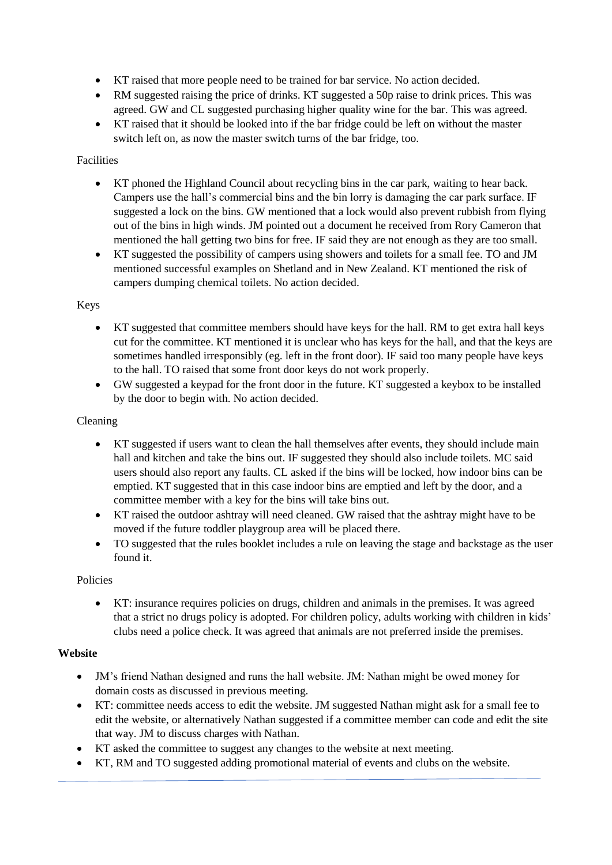- KT raised that more people need to be trained for bar service. No action decided.
- RM suggested raising the price of drinks. KT suggested a 50p raise to drink prices. This was agreed. GW and CL suggested purchasing higher quality wine for the bar. This was agreed.
- KT raised that it should be looked into if the bar fridge could be left on without the master switch left on, as now the master switch turns of the bar fridge, too.

## Facilities

- KT phoned the Highland Council about recycling bins in the car park, waiting to hear back. Campers use the hall's commercial bins and the bin lorry is damaging the car park surface. IF suggested a lock on the bins. GW mentioned that a lock would also prevent rubbish from flying out of the bins in high winds. JM pointed out a document he received from Rory Cameron that mentioned the hall getting two bins for free. IF said they are not enough as they are too small.
- KT suggested the possibility of campers using showers and toilets for a small fee. TO and JM mentioned successful examples on Shetland and in New Zealand. KT mentioned the risk of campers dumping chemical toilets. No action decided.

# Keys

- KT suggested that committee members should have keys for the hall. RM to get extra hall keys cut for the committee. KT mentioned it is unclear who has keys for the hall, and that the keys are sometimes handled irresponsibly (eg. left in the front door). IF said too many people have keys to the hall. TO raised that some front door keys do not work properly.
- GW suggested a keypad for the front door in the future. KT suggested a keybox to be installed by the door to begin with. No action decided.

### Cleaning

- KT suggested if users want to clean the hall themselves after events, they should include main hall and kitchen and take the bins out. IF suggested they should also include toilets. MC said users should also report any faults. CL asked if the bins will be locked, how indoor bins can be emptied. KT suggested that in this case indoor bins are emptied and left by the door, and a committee member with a key for the bins will take bins out.
- KT raised the outdoor ashtray will need cleaned. GW raised that the ashtray might have to be moved if the future toddler playgroup area will be placed there.
- TO suggested that the rules booklet includes a rule on leaving the stage and backstage as the user found it.

### Policies

• KT: insurance requires policies on drugs, children and animals in the premises. It was agreed that a strict no drugs policy is adopted. For children policy, adults working with children in kids' clubs need a police check. It was agreed that animals are not preferred inside the premises.

### **Website**

- JM's friend Nathan designed and runs the hall website. JM: Nathan might be owed money for domain costs as discussed in previous meeting.
- KT: committee needs access to edit the website. JM suggested Nathan might ask for a small fee to edit the website, or alternatively Nathan suggested if a committee member can code and edit the site that way. JM to discuss charges with Nathan.
- KT asked the committee to suggest any changes to the website at next meeting.
- KT, RM and TO suggested adding promotional material of events and clubs on the website.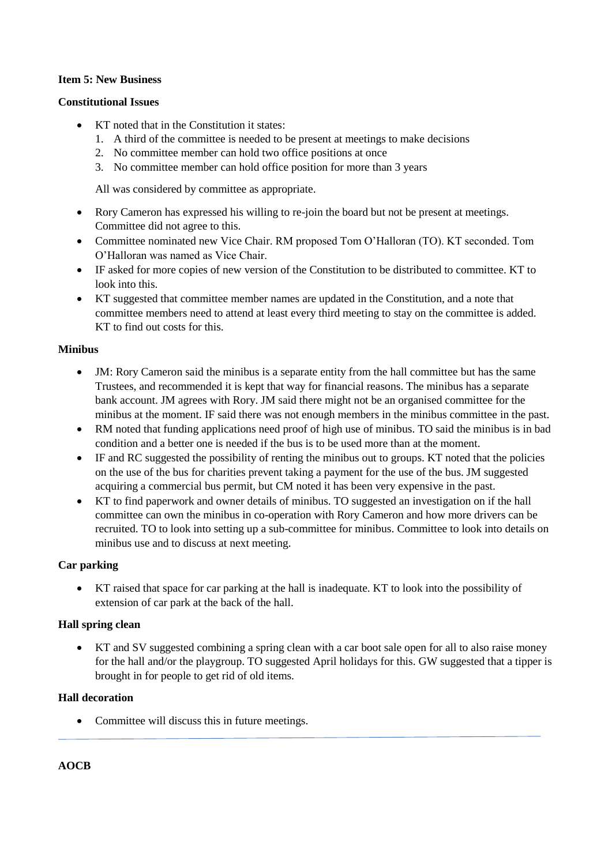## **Item 5: New Business**

#### **Constitutional Issues**

- KT noted that in the Constitution it states:
	- 1. A third of the committee is needed to be present at meetings to make decisions
	- 2. No committee member can hold two office positions at once
	- 3. No committee member can hold office position for more than 3 years

All was considered by committee as appropriate.

- Rory Cameron has expressed his willing to re-join the board but not be present at meetings. Committee did not agree to this.
- Committee nominated new Vice Chair. RM proposed Tom O'Halloran (TO). KT seconded. Tom O'Halloran was named as Vice Chair.
- IF asked for more copies of new version of the Constitution to be distributed to committee. KT to look into this.
- KT suggested that committee member names are updated in the Constitution, and a note that committee members need to attend at least every third meeting to stay on the committee is added. KT to find out costs for this.

#### **Minibus**

- JM: Rory Cameron said the minibus is a separate entity from the hall committee but has the same Trustees, and recommended it is kept that way for financial reasons. The minibus has a separate bank account. JM agrees with Rory. JM said there might not be an organised committee for the minibus at the moment. IF said there was not enough members in the minibus committee in the past.
- RM noted that funding applications need proof of high use of minibus. TO said the minibus is in bad condition and a better one is needed if the bus is to be used more than at the moment.
- IF and RC suggested the possibility of renting the minibus out to groups. KT noted that the policies on the use of the bus for charities prevent taking a payment for the use of the bus. JM suggested acquiring a commercial bus permit, but CM noted it has been very expensive in the past.
- KT to find paperwork and owner details of minibus. TO suggested an investigation on if the hall committee can own the minibus in co-operation with Rory Cameron and how more drivers can be recruited. TO to look into setting up a sub-committee for minibus. Committee to look into details on minibus use and to discuss at next meeting.

#### **Car parking**

• KT raised that space for car parking at the hall is inadequate. KT to look into the possibility of extension of car park at the back of the hall.

#### **Hall spring clean**

• KT and SV suggested combining a spring clean with a car boot sale open for all to also raise money for the hall and/or the playgroup. TO suggested April holidays for this. GW suggested that a tipper is brought in for people to get rid of old items.

#### **Hall decoration**

• Committee will discuss this in future meetings.